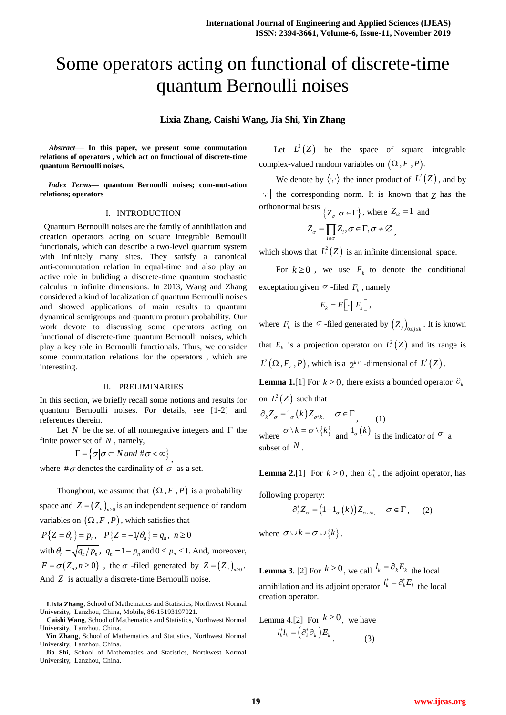# Some operators acting on functional of discrete-time quantum Bernoulli noises

## **Lixia Zhang, Caishi Wang, Jia Shi, Yin Zhang**

*Abstract*— **In this paper, we present some commutation relations of operators , which act on functional of discrete-time quantum Bernoulli noises.**

*Index Terms***— quantum Bernoulli noises; com-mut-ation relations; operators**

#### I. INTRODUCTION

 Quantum Bernoulli noises are the family of annihilation and creation operators acting on square integrable Bernoulli functionals, which can describe a two-level quantum system with infinitely many sites. They satisfy a canonical anti-commutation relation in equal-time and also play an active role in buliding a discrete-time quantum stochastic calculus in infinite dimensions. In 2013, Wang and Zhang considered a kind of localization of quantum Bernoulli noises and showed applications of main results to quantum dynamical semigroups and quantum protum probability. Our work devote to discussing some operators acting on functional of discrete-time quantum Bernoulli noises, which play a key role in Bernoulli functionals. Thus, we consider some commutation relations for the operators , which are interesting.

## II. PRELIMINARIES

In this section, we briefly recall some notions and results for quantum Bernoulli noises. For details, see [1-2] and references therein.

Let N be the set of all nonnegative integers and  $\Gamma$  the finite power set of *N* , namely,

 $\Gamma = \{ \sigma | \sigma \subset N \text{ and } \#\sigma < \infty \}$ 

where  $\#\sigma$  denotes the cardinality of  $\sigma$  as a set.

Thoughout, we assume that  $(\Omega, F, P)$  is a probability

space and  $Z = (Z_n)_{n \geq 0}$  is an independent sequence of random

variables on 
$$
(\Omega, F, P)
$$
, which satisfies that  
\n $P\{Z = \theta_n\} = p_n$ ,  $P\{Z = -1/\theta_n\} = q_n$ ,  $n \ge 0$   
\nwith  $\theta_n = \sqrt{q_n/p_n}$ ,  $q_n = 1 - p_n$  and  $0 \le p_n \le 1$ . And, moreover,  
\n $F = \sigma(Z_n, n \ge 0)$ , the  $\sigma$ -filled generated by  $Z = (Z_n)_{n \ge 0}$ .  
\nAnd Z is actually a discrete-time Bernoulli noise.

Let  $L^2(Z)$  be the space of square integrable complex-valued random variables on  $(\Omega, F, P)$ .

We denote by  $\langle \cdot, \cdot \rangle$  the inner product of  $L^2(Z)$ , and by  $\|\cdot\|$  the corresponding norm. It is known that  $Z$  has the orthonormal basis  $\{Z_{\sigma} | \sigma \in \Gamma\}$ , where  $Z_{\varnothing} = 1$  and

$$
Z_{\sigma} = \prod_{i \in \sigma} Z_i, \sigma \in \Gamma, \sigma \neq \varnothing,
$$

which shows that  $L^2(Z)$  is an infinite dimensional space.

For  $k \geq 0$ , we use  $E_k$  to denote the conditional exceptation given  $\sigma$ -filed  $F_k$ , namely

$$
E_{k}=E\big[\cdot\big]\,F_{k}\,\big],
$$

where  $F_k$  is the  $\sigma$ -filed generated by  $(Z_j)_{0 \le j \le k}$ . It is known that  $E_k$  is a projection operator on  $L^2(Z)$  and its range is  $L^2(\Omega, F_k, P)$ , which is a  $2^{k+1}$ -dimensional of  $L^2(Z)$ .

**Lemma 1.**[1] For  $k \ge 0$ , there exists a bounded operator  $\partial_k$ on  $L^2(Z)$  such that

 $\partial_k Z_{\sigma} = 1_{\sigma}(k) Z_{\sigma(k)} \quad \sigma \in \Gamma$ , (1) where  $\sigma \setminus k = \sigma \setminus \{k\}$  and  $1_{\sigma}(k)$  is the indicator of  $\sigma$  a subset of *N* .

**Lemma 2.**[1] For  $k \ge 0$ , then  $\partial_k^*$ , the adjoint operator, has

following property:

$$
\partial_k^* Z_{\sigma} = (1 - 1_{\sigma}(k)) Z_{\sigma \cup k}, \quad \sigma \in \Gamma, \quad (2)
$$

where  $\sigma \cup k = \sigma \cup \{k\}$ .

**Lemma 3.** [2] For  $k \ge 0$ , we call  $l_k = \partial_k E_k$  the local annihilation and its adjoint operator  $l_k^* = \partial_k^* E_k$  the local creation operator.

Lemma 4.[2] For 
$$
k \ge 0
$$
, we have  

$$
l_k^* l_k = (\partial_k^* \partial_k) E_k
$$
(3)

**Lixia Zhang**, School of Mathematics and Statistics, Northwest Normal University, Lanzhou, China, Mobile, 86-15193197021.

**Caishi Wang**, School of Mathematics and Statistics, Northwest Normal University, Lanzhou, China.

**Yin Zhang**, School of Mathematics and Statistics, Northwest Normal University, Lanzhou, China.

**Jia Shi,** School of Mathematics and Statistics, Northwest Normal University, Lanzhou, China.